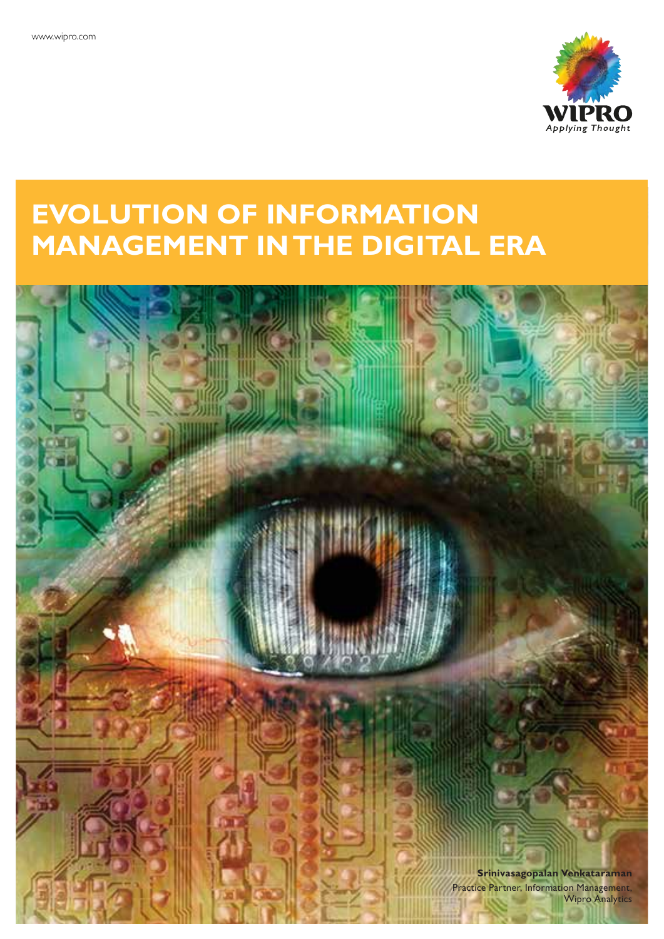

# **EVOLUTION OF INFORMATION MANAGEMENT IN THE DIGITAL ERA**

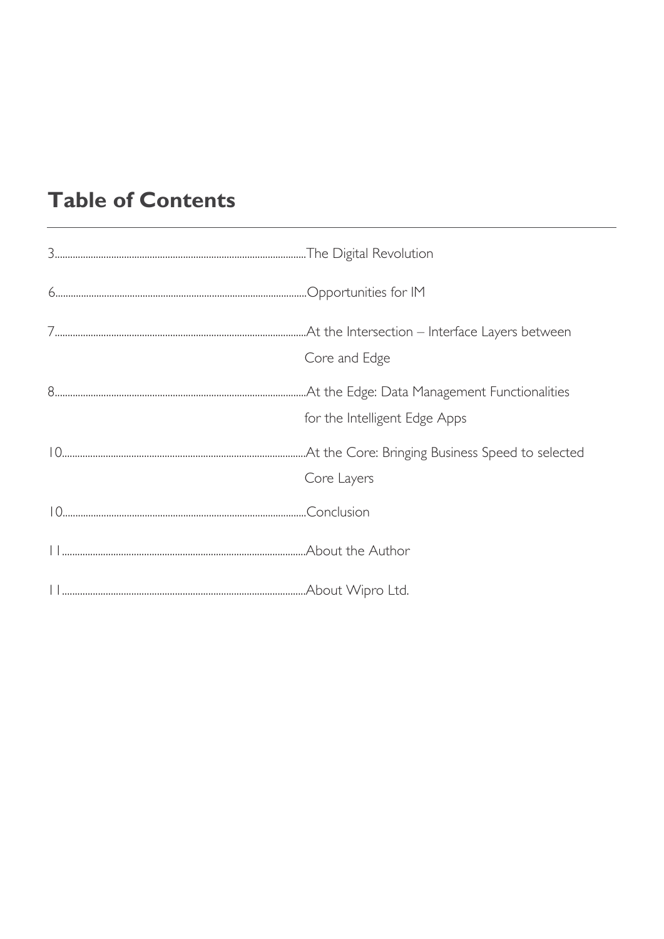# **Table of Contents**

| Core and Edge                 |
|-------------------------------|
| for the Intelligent Edge Apps |
| Core Layers                   |
|                               |
|                               |
|                               |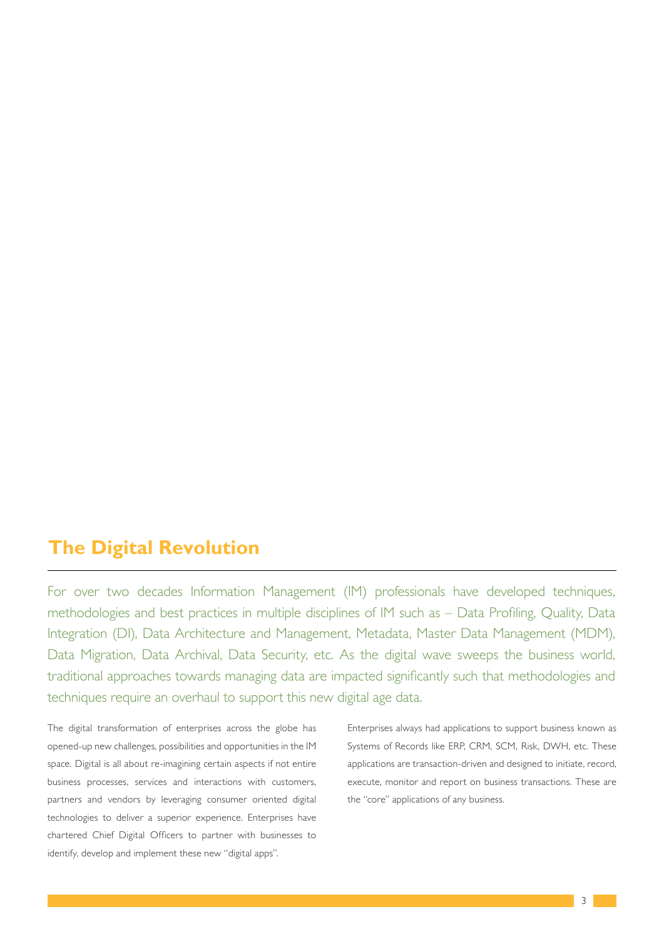### **The Digital Revolution**

For over two decades Information Management (IM) professionals have developed techniques, methodologies and best practices in multiple disciplines of IM such as - Data Profiling, Quality, Data Integration (DI), Data Architecture and Management, Metadata, Master Data Management (MDM), Data Migration, Data Archival, Data Security, etc. As the digital wave sweeps the business world, traditional approaches towards managing data are impacted significantly such that methodologies and techniques require an overhaul to support this new digital age data.

The digital transformation of enterprises across the globe has opened-up new challenges, possibilities and opportunities in the IM space. Digital is all about re-imagining certain aspects if not entire business processes, services and interactions with customers, partners and vendors by leveraging consumer oriented digital technologies to deliver a superior experience. Enterprises have chartered Chief Digital Officers to partner with businesses to identify, develop and implement these new "digital apps".

Enterprises always had applications to support business known as Systems of Records like ERP, CRM, SCM, Risk, DWH, etc. These applications are transaction-driven and designed to initiate, record, execute, monitor and report on business transactions. These are the "core" applications of any business.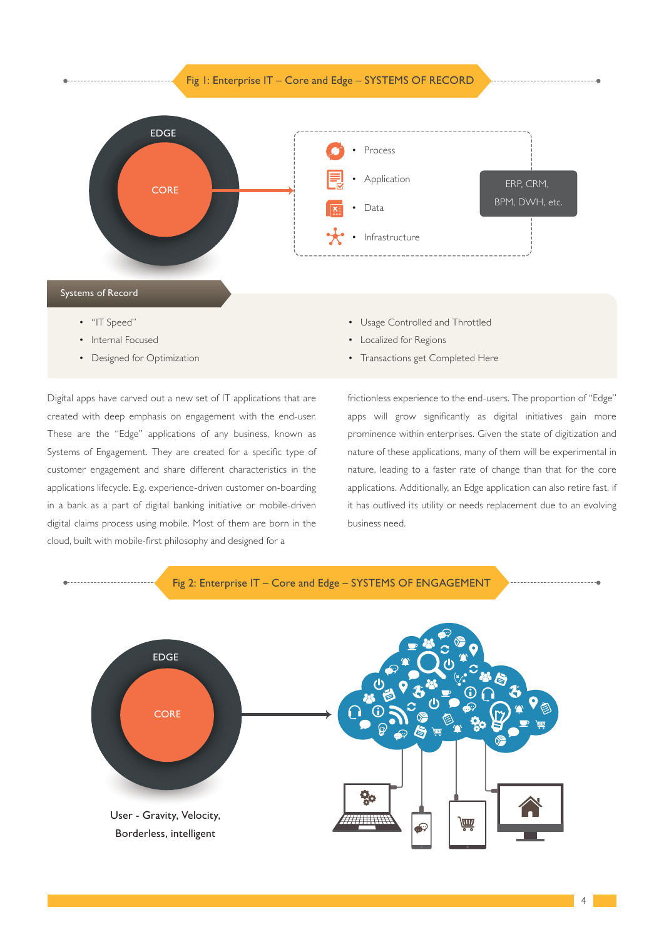



- "IT Speed"
- Internal Focused
- Designed for Optimization

• Usage Controlled and Throttled

- Localized for Regions
- Transactions get Completed Here

Digital apps have carved out a new set of IT applications that are created with deep emphasis on engagement with the end-user. These are the "Edge" applications of any business, known as Systems of Engagement. They are created for a specific type of customer engagement and share different characteristics in the applications lifecycle. E.g. experience-driven customer on-boarding in a bank as a part of digital banking initiative or mobile-driven digital claims process using mobile. Most of them are born in the cloud, built with mobile-first philosophy and designed for a

frictionless experience to the end-users. The proportion of "Edge" apps will grow significantly as digital initiatives gain more prominence within enterprises. Given the state of digitization and nature of these applications, many of them will be experimental in nature, leading to a faster rate of change than that for the core applications. Additionally, an Edge application can also retire fast, if it has outlived its utility or needs replacement due to an evolving business need.

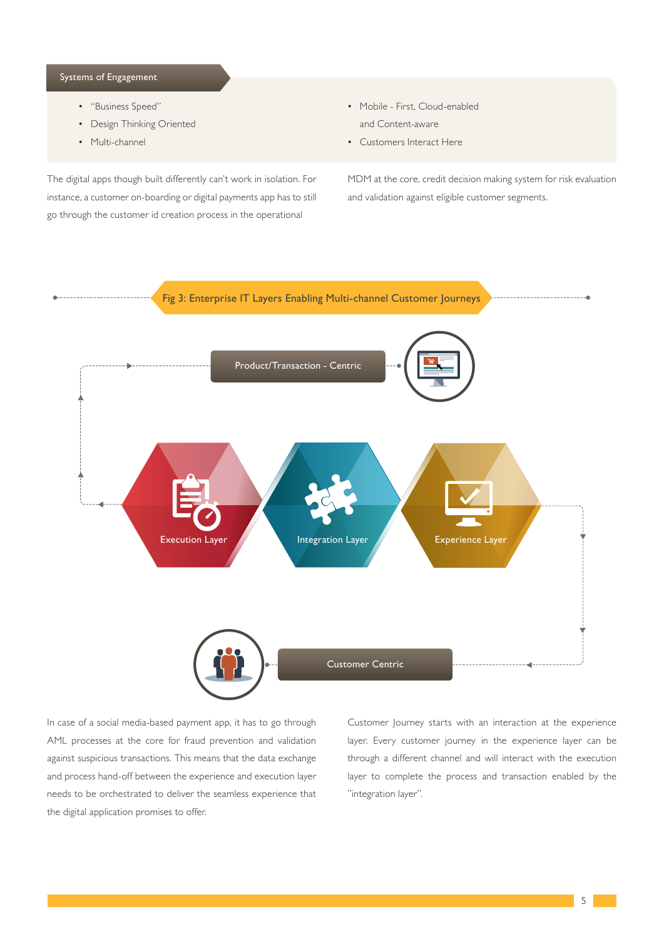#### Systems of Engagement

- "Business Speed"
- Design Thinking Oriented
- Multi-channel

The digital apps though built differently can't work in isolation. For instance, a customer on-boarding or digital payments app has to still go through the customer id creation process in the operational

- Mobile First, Cloud-enabled and Content-aware
- Customers Interact Here

MDM at the core, credit decision making system for risk evaluation and validation against eligible customer segments.



In case of a social media-based payment app, it has to go through AML processes at the core for fraud prevention and validation against suspicious transactions. This means that the data exchange and process hand-off between the experience and execution layer needs to be orchestrated to deliver the seamless experience that the digital application promises to offer.

Customer Journey starts with an interaction at the experience layer. Every customer journey in the experience layer can be through a different channel and will interact with the execution layer to complete the process and transaction enabled by the "integration layer".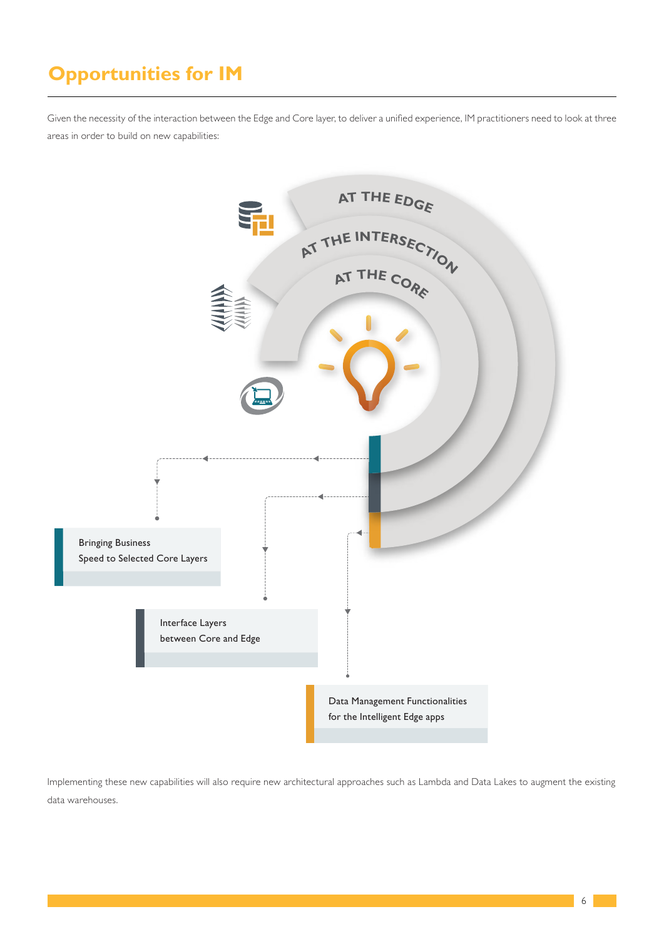# **Opportunities for IM**

Given the necessity of the interaction between the Edge and Core layer, to deliver a unified experience, IM practitioners need to look at three areas in order to build on new capabilities:



Implementing these new capabilities will also require new architectural approaches such as Lambda and Data Lakes to augment the existing data warehouses.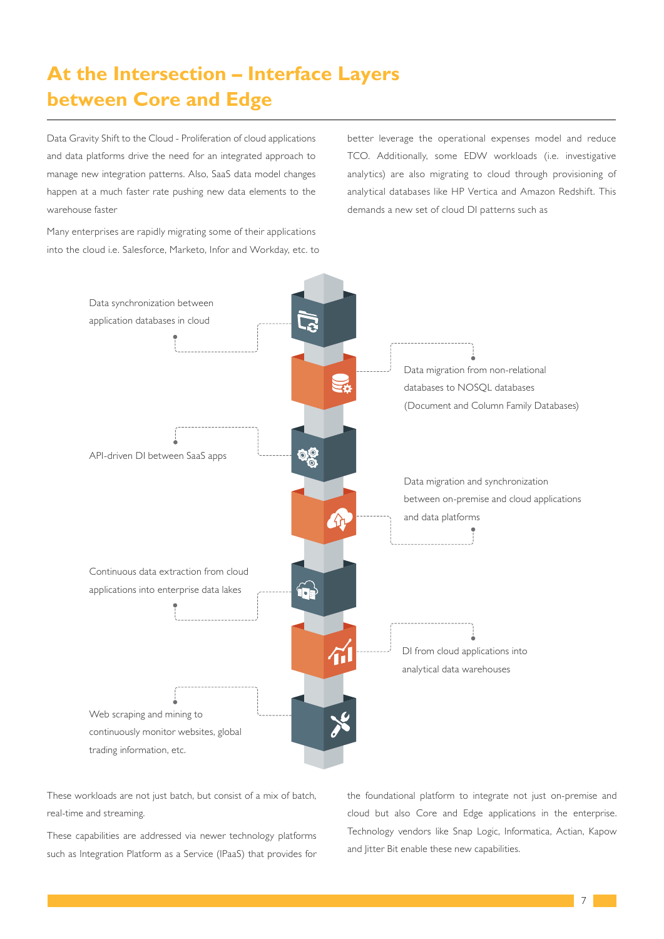# **At the Intersection – Interface Layers between Core and Edge**

Data Gravity Shift to the Cloud - Proliferation of cloud applications and data platforms drive the need for an integrated approach to manage new integration patterns. Also, SaaS data model changes happen at a much faster rate pushing new data elements to the warehouse faster

Many enterprises are rapidly migrating some of their applications into the cloud i.e. Salesforce, Marketo, Infor and Workday, etc. to better leverage the operational expenses model and reduce TCO. Additionally, some EDW workloads (i.e. investigative analytics) are also migrating to cloud through provisioning of analytical databases like HP Vertica and Amazon Redshift. This demands a new set of cloud DI patterns such as



These workloads are not just batch, but consist of a mix of batch, real-time and streaming.

These capabilities are addressed via newer technology platforms such as Integration Platform as a Service (IPaaS) that provides for the foundational platform to integrate not just on-premise and cloud but also Core and Edge applications in the enterprise. Technology vendors like Snap Logic, Informatica, Actian, Kapow and litter Bit enable these new capabilities.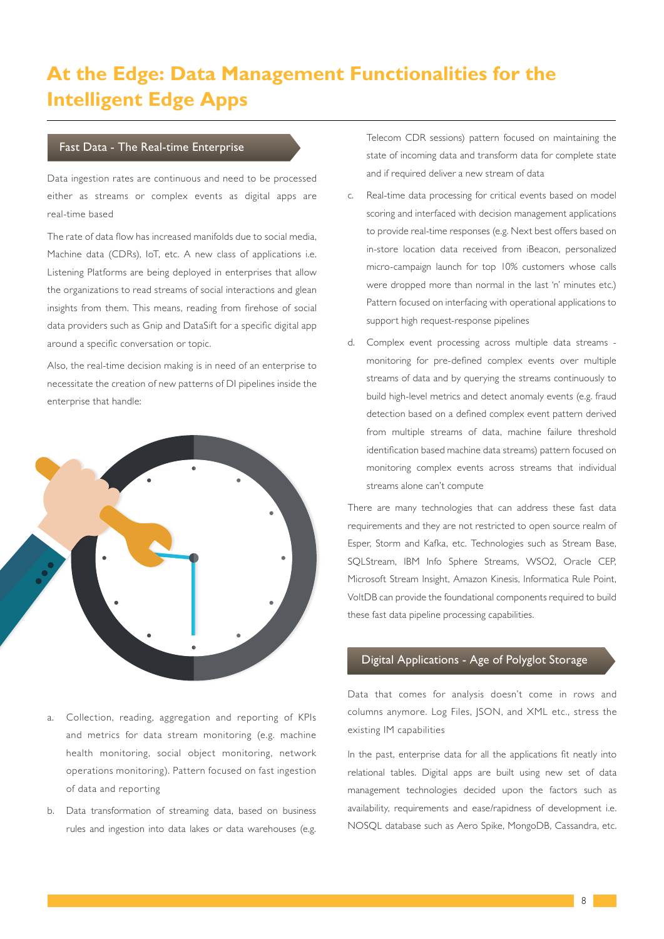# **At the Edge: Data Management Functionalities for the Intelligent Edge Apps**

#### Fast Data - The Real-time Enterprise

Data ingestion rates are continuous and need to be processed either as streams or complex events as digital apps are real-time based

The rate of data flow has increased manifolds due to social media, Machine data (CDRs), IoT, etc. A new class of applications i.e. Listening Platforms are being deployed in enterprises that allow the organizations to read streams of social interactions and glean insights from them. This means, reading from firehose of social data providers such as Gnip and DataSift for a specific digital app around a specific conversation or topic.

Also, the real-time decision making is in need of an enterprise to necessitate the creation of new patterns of DI pipelines inside the enterprise that handle:



- a. Collection, reading, aggregation and reporting of KPIs and metrics for data stream monitoring (e.g. machine health monitoring, social object monitoring, network operations monitoring). Pattern focused on fast ingestion of data and reporting
- b. Data transformation of streaming data, based on business rules and ingestion into data lakes or data warehouses (e.g.

Telecom CDR sessions) pattern focused on maintaining the state of incoming data and transform data for complete state and if required deliver a new stream of data

- c. Real-time data processing for critical events based on model scoring and interfaced with decision management applications to provide real-time responses (e.g. Next best offers based on in-store location data received from iBeacon, personalized micro-campaign launch for top 10% customers whose calls were dropped more than normal in the last 'n' minutes etc.) Pattern focused on interfacing with operational applications to support high request-response pipelines
- d. Complex event processing across multiple data streams monitoring for pre-defined complex events over multiple streams of data and by querying the streams continuously to build high-level metrics and detect anomaly events (e.g. fraud detection based on a defined complex event pattern derived from multiple streams of data, machine failure threshold identification based machine data streams) pattern focused on monitoring complex events across streams that individual streams alone can't compute

There are many technologies that can address these fast data requirements and they are not restricted to open source realm of Esper, Storm and Kafka, etc. Technologies such as Stream Base, SQLStream, IBM Info Sphere Streams, WSO2, Oracle CEP, Microsoft Stream Insight, Amazon Kinesis, Informatica Rule Point, VoltDB can provide the foundational components required to build these fast data pipeline processing capabilities.

#### Digital Applications - Age of Polyglot Storage

Data that comes for analysis doesn't come in rows and columns anymore. Log Files, JSON, and XML etc., stress the existing IM capabilities

In the past, enterprise data for all the applications fit neatly into relational tables. Digital apps are built using new set of data management technologies decided upon the factors such as availability, requirements and ease/rapidness of development i.e. NOSQL database such as Aero Spike, MongoDB, Cassandra, etc.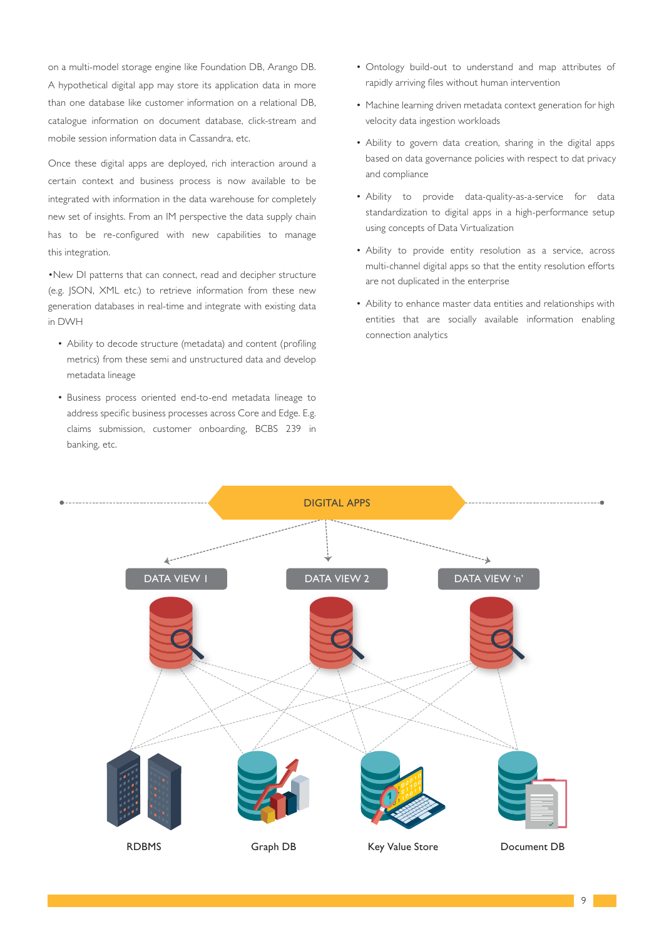on a multi-model storage engine like Foundation DB, Arango DB. A hypothetical digital app may store its application data in more than one database like customer information on a relational DB, catalogue information on document database, click-stream and mobile session information data in Cassandra, etc.

Once these digital apps are deployed, rich interaction around a certain context and business process is now available to be integrated with information in the data warehouse for completely new set of insights. From an IM perspective the data supply chain has to be re-configured with new capabilities to manage this integration.

•New DI patterns that can connect, read and decipher structure (e.g. JSON, XML etc.) to retrieve information from these new generation databases in real-time and integrate with existing data in DWH

- Ability to decode structure (metadata) and content (profiling metrics) from these semi and unstructured data and develop metadata lineage
- Business process oriented end-to-end metadata lineage to address specific business processes across Core and Edge. E.g. claims submission, customer onboarding, BCBS 239 in banking, etc.
- Ontology build-out to understand and map attributes of rapidly arriving files without human intervention
- Machine learning driven metadata context generation for high velocity data ingestion workloads
- Ability to govern data creation, sharing in the digital apps based on data governance policies with respect to dat privacy and compliance
- Ability to provide data-quality-as-a-service for data standardization to digital apps in a high-performance setup using concepts of Data Virtualization
- Ability to provide entity resolution as a service, across multi-channel digital apps so that the entity resolution efforts are not duplicated in the enterprise
- Ability to enhance master data entities and relationships with entities that are socially available information enabling connection analytics



9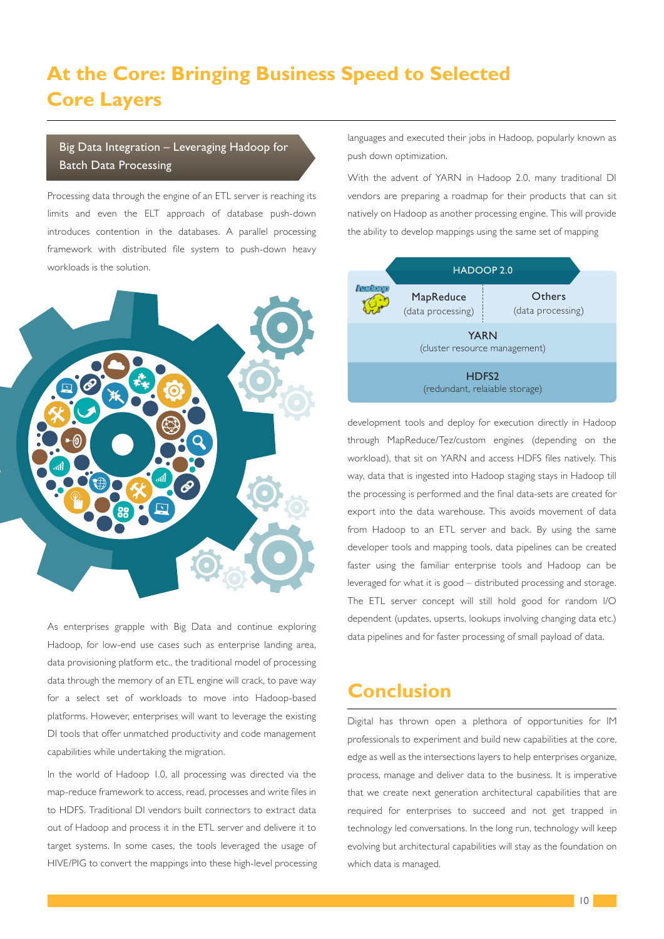## **At the Core: Bringing Business Speed to Selected Core Layers**

#### Big Data Integration – Leveraging Hadoop for Batch Data Processing

Processing data through the engine of an ETL server is reaching its limits and even the ELT approach of database push-down introduces contention in the databases. A parallel processing framework with distributed file system to push-down heavy workloads is the solution.



As enterprises grapple with Big Data and continue exploring Hadoop, for low-end use cases such as enterprise landing area, data provisioning platform etc., the traditional model of processing data through the memory of an ETL engine will crack, to pave way for a select set of workloads to move into Hadoop-based platforms. However, enterprises will want to leverage the existing DI tools that offer unmatched productivity and code management capabilities while undertaking the migration.

In the world of Hadoop 1.0, all processing was directed via the map-reduce framework to access, read, processes and write files in to HDFS. Traditional DI vendors built connectors to extract data out of Hadoop and process it in the ETL server and delivere it to target systems. In some cases, the tools leveraged the usage of HIVE/PIG to convert the mappings into these high-level processing languages and executed their jobs in Hadoop, popularly known as push down optimization.

With the advent of YARN in Hadoop 2.0, many traditional DI vendors are preparing a roadmap for their products that can sit natively on Hadoop as another processing engine. This will provide the ability to develop mappings using the same set of mapping



development tools and deploy for execution directly in Hadoop through MapReduce/Tez/custom engines (depending on the workload), that sit on YARN and access HDFS files natively. This way, data that is ingested into Hadoop staging stays in Hadoop till the processing is performed and the final data-sets are created for export into the data warehouse. This avoids movement of data from Hadoop to an ETL server and back. By using the same developer tools and mapping tools, data pipelines can be created faster using the familiar enterprise tools and Hadoop can be leveraged for what it is good – distributed processing and storage. The ETL server concept will still hold good for random I/O dependent (updates, upserts, lookups involving changing data etc.) data pipelines and for faster processing of small payload of data.

### **Conclusion**

Digital has thrown open a plethora of opportunities for IM professionals to experiment and build new capabilities at the core, edge as well as the intersections layers to help enterprises organize, process, manage and deliver data to the business. It is imperative that we create next generation architectural capabilities that are required for enterprises to succeed and not get trapped in technology led conversations. In the long run, technology will keep evolving but architectural capabilities will stay as the foundation on which data is managed.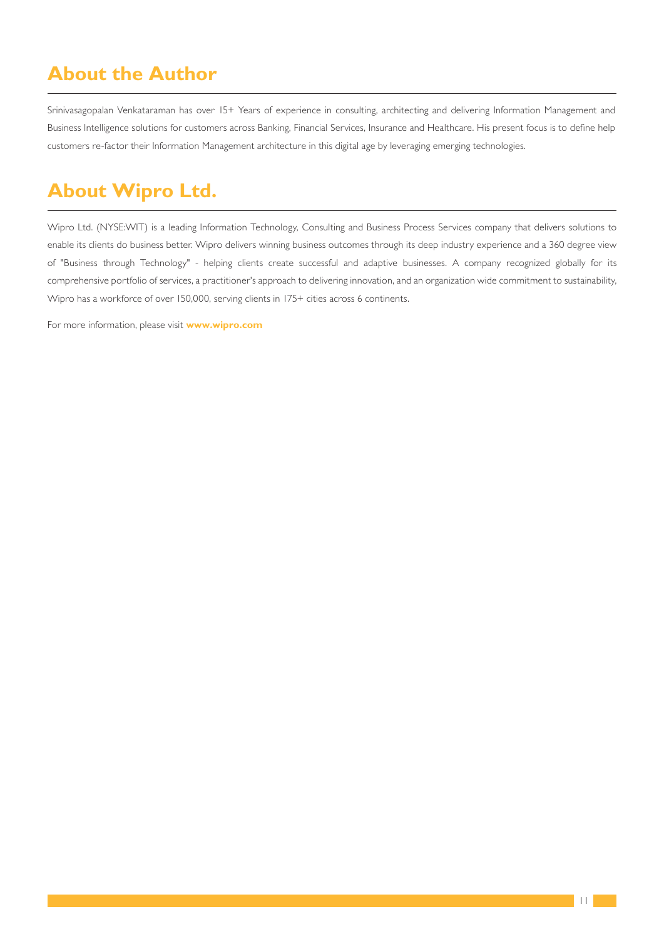### **About the Author**

Srinivasagopalan Venkataraman has over 15+ Years of experience in consulting, architecting and delivering Information Management and Business Intelligence solutions for customers across Banking, Financial Services, Insurance and Healthcare. His present focus is to define help customers re-factor their Information Management architecture in this digital age by leveraging emerging technologies.

## **About Wipro Ltd.**

Wipro Ltd. (NYSE:WIT) is a leading Information Technology, Consulting and Business Process Services company that delivers solutions to enable its clients do business better. Wipro delivers winning business outcomes through its deep industry experience and a 360 degree view of "Business through Technology" - helping clients create successful and adaptive businesses. A company recognized globally for its comprehensive portfolio of services, a practitioner's approach to delivering innovation, and an organization wide commitment to sustainability, Wipro has a workforce of over 150,000, serving clients in 175+ cities across 6 continents.

For more information, please visit **www.wipro.com**